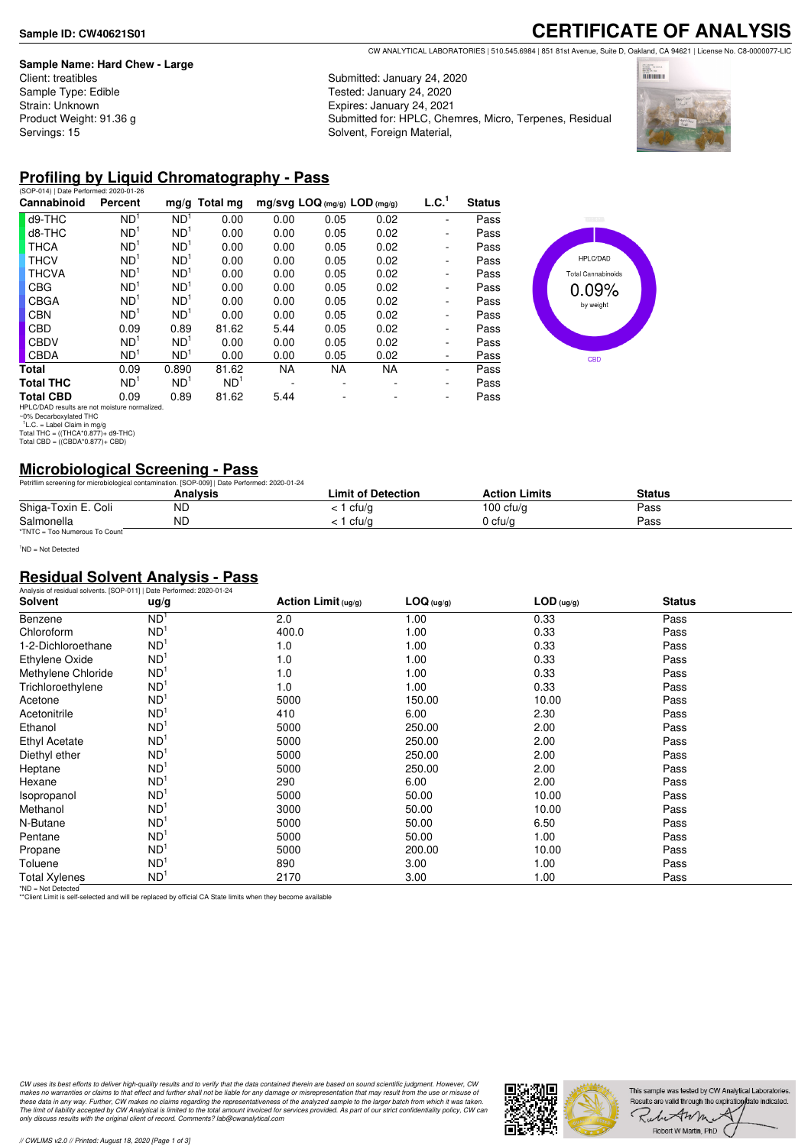#### **Sample Name: Hard Chew - Large**

Client: treatibles Sample Type: Edible Strain: Unknown Product Weight: 91.36 g Servings: 15

# **CERTIFICATE OF ANALYSIS**

CW ANALYTICAL LABORATORIES | 510.545.6984 | 851 81st Avenue, Suite D, Oakland, CA 94621 | License No. C8-0000077-LIC

Submitted: January 24, 2020 Tested: January 24, 2020 Expires: January 24, 2021 Submitted for: HPLC, Chemres, Micro, Terpenes, Residual Solvent, Foreign Material,



#### **Profiling by Liquid Chromatography - Pass**

| (SOP-014)   Date Performed: 2020-01-26                                                                                                         |                 |                 |                 |                                |      |           |                          |               |
|------------------------------------------------------------------------------------------------------------------------------------------------|-----------------|-----------------|-----------------|--------------------------------|------|-----------|--------------------------|---------------|
| Cannabinoid                                                                                                                                    | Percent         |                 | $mg/g$ Total mg | $mg/svg$ LOQ (mg/g) LOD (mg/g) |      |           | L.C. <sup>1</sup>        | <b>Status</b> |
| d9-THC                                                                                                                                         | ND <sup>1</sup> | ND <sup>1</sup> | 0.00            | 0.00                           | 0.05 | 0.02      | ٠                        | Pass          |
| d8-THC                                                                                                                                         | ND <sup>1</sup> | ND <sup>1</sup> | 0.00            | 0.00                           | 0.05 | 0.02      | ٠                        | Pass          |
| <b>THCA</b>                                                                                                                                    | ND <sup>1</sup> | ND <sup>1</sup> | 0.00            | 0.00                           | 0.05 | 0.02      | $\overline{\phantom{0}}$ | Pass          |
| <b>THCV</b>                                                                                                                                    | ND <sup>1</sup> | ND <sup>1</sup> | 0.00            | 0.00                           | 0.05 | 0.02      | $\overline{\phantom{0}}$ | Pass          |
| <b>THCVA</b>                                                                                                                                   | ND <sup>1</sup> | ND <sup>1</sup> | 0.00            | 0.00                           | 0.05 | 0.02      | $\overline{\phantom{0}}$ | Pass          |
| CBG                                                                                                                                            | ND <sup>1</sup> | ND <sup>1</sup> | 0.00            | 0.00                           | 0.05 | 0.02      | $\overline{\phantom{0}}$ | Pass          |
| CBGA                                                                                                                                           | ND <sup>1</sup> | ND <sup>1</sup> | 0.00            | 0.00                           | 0.05 | 0.02      | $\overline{\phantom{0}}$ | Pass          |
| <b>CBN</b>                                                                                                                                     | ND <sup>1</sup> | ND <sup>1</sup> | 0.00            | 0.00                           | 0.05 | 0.02      | $\overline{\phantom{0}}$ | Pass          |
| CBD                                                                                                                                            | 0.09            | 0.89            | 81.62           | 5.44                           | 0.05 | 0.02      | $\overline{\phantom{0}}$ | Pass          |
| <b>CBDV</b>                                                                                                                                    | ND <sup>1</sup> | ND <sup>1</sup> | 0.00            | 0.00                           | 0.05 | 0.02      | ٠                        | Pass          |
| <b>CBDA</b>                                                                                                                                    | ND <sup>1</sup> | ND <sup>1</sup> | 0.00            | 0.00                           | 0.05 | 0.02      | ٠                        | Pass          |
| Total                                                                                                                                          | 0.09            | 0.890           | 81.62           | NA.                            | NA.  | <b>NA</b> | ٠                        | Pass          |
| <b>Total THC</b>                                                                                                                               | ND <sup>1</sup> | ND <sup>1</sup> | ND <sup>1</sup> |                                | ۰    |           | $\overline{\phantom{0}}$ | Pass          |
| <b>Total CBD</b>                                                                                                                               | 0.09            | 0.89            | 81.62           | 5.44                           |      |           | $\overline{\phantom{0}}$ | Pass          |
| HPLC/DAD results are not moisture normalized.<br>~0% Decarboxylated THC<br>$L.C. = Label Claim in mg/q$<br>Total THC = $((THCA*0.877)+d9-THC)$ |                 |                 |                 |                                |      |           |                          |               |
| Total CBD = $((CBDA*0.877)+CBD)$                                                                                                               |                 |                 |                 |                                |      |           |                          |               |



## **Microbiological Screening - Pass**

| Petriflim screening for microbiological contamination. [SOP-009]   Date Performed: 2020-01-24 |          |                    |                      |        |  |
|-----------------------------------------------------------------------------------------------|----------|--------------------|----------------------|--------|--|
|                                                                                               | Analvsis | Limit of Detection | <b>Action Limits</b> | Status |  |
| Shiga-Toxin E. Coli                                                                           | ΝD       | : 1 cfu/g          | 100 cfu/g            | Pass   |  |
| Salmonella                                                                                    | ND       | ' cfu/a            | 0 cfu/a              | Pass   |  |
| *TNTC = Too Numerous To Count                                                                 |          |                    |                      |        |  |

<sup>1</sup>ND = Not Detected

#### **Residual Solvent Analysis - Pass**

| Analysis of residual solvents. [SOP-011]   Date Performed: 2020-01-24 |                 |                        |            |              |               |  |
|-----------------------------------------------------------------------|-----------------|------------------------|------------|--------------|---------------|--|
| Solvent                                                               | ug/g            | Action Limit $( uq/q)$ | LOG (ug/g) | $LOD$ (ug/g) | <b>Status</b> |  |
| Benzene                                                               | ND <sup>1</sup> | 2.0                    | 1.00       | 0.33         | Pass          |  |
| Chloroform                                                            | ND <sup>1</sup> | 400.0                  | 1.00       | 0.33         | Pass          |  |
| 1-2-Dichloroethane                                                    | ND <sup>1</sup> | 1.0                    | 1.00       | 0.33         | Pass          |  |
| Ethylene Oxide                                                        | ND <sup>1</sup> | 1.0                    | 1.00       | 0.33         | Pass          |  |
| Methylene Chloride                                                    | ND <sup>1</sup> | 1.0                    | 1.00       | 0.33         | Pass          |  |
| Trichloroethylene                                                     | ND <sup>1</sup> | 1.0                    | 1.00       | 0.33         | Pass          |  |
| Acetone                                                               | ND <sup>1</sup> | 5000                   | 150.00     | 10.00        | Pass          |  |
| Acetonitrile                                                          | ND <sup>1</sup> | 410                    | 6.00       | 2.30         | Pass          |  |
| Ethanol                                                               | ND <sup>1</sup> | 5000                   | 250.00     | 2.00         | Pass          |  |
| Ethyl Acetate                                                         | ND <sup>1</sup> | 5000                   | 250.00     | 2.00         | Pass          |  |
| Diethyl ether                                                         | ND <sup>1</sup> | 5000                   | 250.00     | 2.00         | Pass          |  |
| Heptane                                                               | ND <sup>1</sup> | 5000                   | 250.00     | 2.00         | Pass          |  |
| Hexane                                                                | ND <sup>1</sup> | 290                    | 6.00       | 2.00         | Pass          |  |
| Isopropanol                                                           | ND <sup>1</sup> | 5000                   | 50.00      | 10.00        | Pass          |  |
| Methanol                                                              | ND <sup>1</sup> | 3000                   | 50.00      | 10.00        | Pass          |  |
| N-Butane                                                              | ND <sup>1</sup> | 5000                   | 50.00      | 6.50         | Pass          |  |
| Pentane                                                               | ND <sup>1</sup> | 5000                   | 50.00      | 1.00         | Pass          |  |
| Propane                                                               | ND <sup>1</sup> | 5000                   | 200.00     | 10.00        | Pass          |  |
| Toluene                                                               | ND <sup>1</sup> | 890                    | 3.00       | 1.00         | Pass          |  |
| <b>Total Xylenes</b>                                                  | ND <sup>1</sup> | 2170                   | 3.00       | 1.00         | Pass          |  |

\*ND = Not Detected \*\*Client Limit is self-selected and will be replaced by official CA State limits when they become available

CW uses its best efforts to deliver high-quality results and to verify that the data contained therein are based on sound scientific judgment. However, CW<br>makes no warranties or claims to that effect and further shall not *only discuss results with the original client of record. Comments? lab@cwanalytical.com*

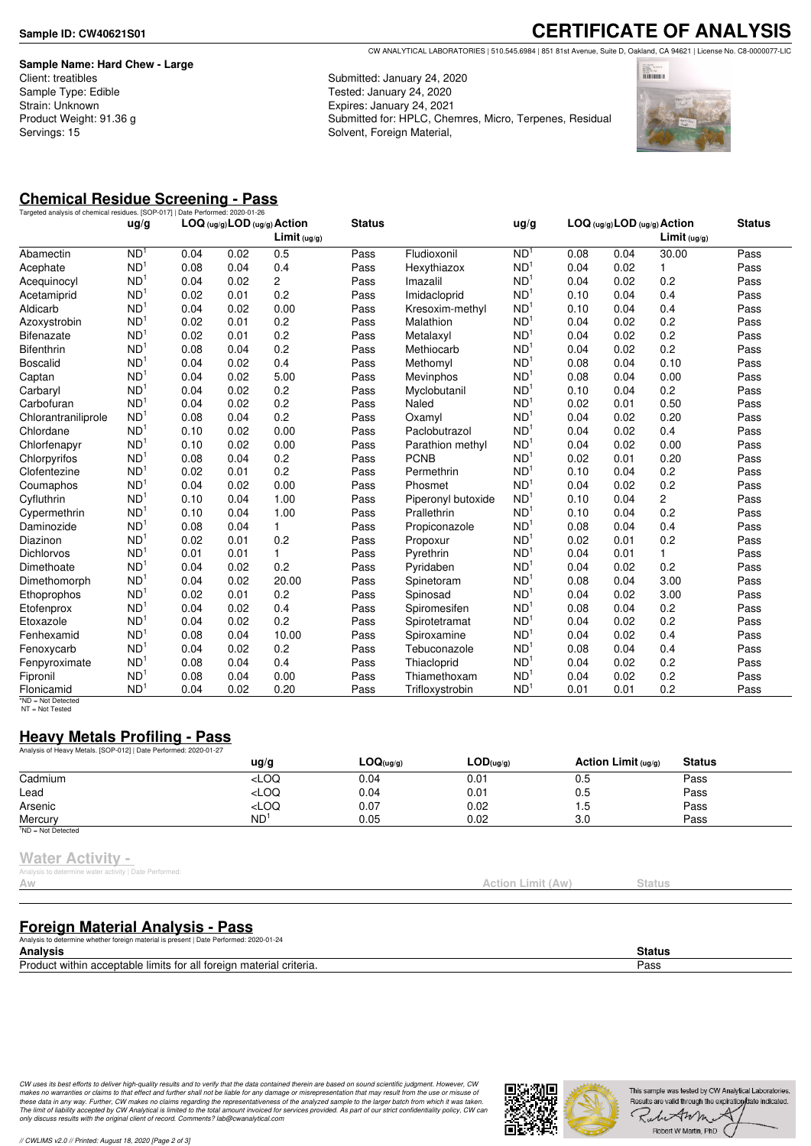**Sample Name: Hard Chew - Large** Client: treatibles Sample Type: Edible Strain: Unknown Product Weight: 91.36 g Servings: 15

**CERTIFICATE OF ANALYSIS** CW ANALYTICAL LABORATORIES | 510.545.6984 | 851 81st Avenue, Suite D, Oakland, CA 94621 | License No. C8-0000077-LIC

Submitted: January 24, 2020 Tested: January 24, 2020 Expires: January 24, 2021 Submitted for: HPLC, Chemres, Micro, Terpenes, Residual Solvent, Foreign Material,



# **Chemical Residue Screening - Pass**

|                     |                 | Targeted analysis of chemical residues. [SOP-017]   Date Performed: 2020-01-26 |      | LOG (ug/g) LOD (ug/g) Action |               |                    |                 | LOG (ug/g) LOD (ug/g) Action |      |                         |               |
|---------------------|-----------------|--------------------------------------------------------------------------------|------|------------------------------|---------------|--------------------|-----------------|------------------------------|------|-------------------------|---------------|
|                     | ug/g            |                                                                                |      | Limit <sub>(ug/g)</sub>      | <b>Status</b> |                    | ug/g            |                              |      | Limit <sub>(ug/g)</sub> | <b>Status</b> |
| Abamectin           | N <sub>D</sub>  | 0.04                                                                           | 0.02 | 0.5                          | Pass          | Fludioxonil        | ND <sup>1</sup> | 0.08                         | 0.04 | 30.00                   | Pass          |
| Acephate            | ND <sup>1</sup> | 0.08                                                                           | 0.04 | 0.4                          | Pass          | Hexythiazox        | ND <sup>1</sup> | 0.04                         | 0.02 | 1                       | Pass          |
| Acequinocyl         | ND <sup>1</sup> | 0.04                                                                           | 0.02 | $\overline{2}$               | Pass          | Imazalil           | ND <sup>1</sup> | 0.04                         | 0.02 | 0.2                     | Pass          |
| Acetamiprid         | ND <sup>1</sup> | 0.02                                                                           | 0.01 | 0.2                          | Pass          | Imidacloprid       | ND <sup>1</sup> | 0.10                         | 0.04 | 0.4                     | Pass          |
| Aldicarb            | ND <sup>1</sup> | 0.04                                                                           | 0.02 | 0.00                         | Pass          | Kresoxim-methyl    | ND <sup>1</sup> | 0.10                         | 0.04 | 0.4                     | Pass          |
| Azoxystrobin        | ND <sup>1</sup> | 0.02                                                                           | 0.01 | 0.2                          | Pass          | Malathion          | ND <sup>1</sup> | 0.04                         | 0.02 | 0.2                     | Pass          |
| <b>Bifenazate</b>   | ND <sup>1</sup> | 0.02                                                                           | 0.01 | 0.2                          | Pass          | Metalaxyl          | ND <sup>1</sup> | 0.04                         | 0.02 | 0.2                     | Pass          |
| <b>Bifenthrin</b>   | ND <sup>1</sup> | 0.08                                                                           | 0.04 | 0.2                          | Pass          | Methiocarb         | ND <sup>1</sup> | 0.04                         | 0.02 | 0.2                     | Pass          |
| <b>Boscalid</b>     | ND <sup>1</sup> | 0.04                                                                           | 0.02 | 0.4                          | Pass          | Methomyl           | ND <sup>1</sup> | 0.08                         | 0.04 | 0.10                    | Pass          |
| Captan              | ND <sup>1</sup> | 0.04                                                                           | 0.02 | 5.00                         | Pass          | Mevinphos          | ND <sup>1</sup> | 0.08                         | 0.04 | 0.00                    | Pass          |
| Carbaryl            | ND <sup>1</sup> | 0.04                                                                           | 0.02 | 0.2                          | Pass          | Myclobutanil       | ND <sup>1</sup> | 0.10                         | 0.04 | 0.2                     | Pass          |
| Carbofuran          | ND <sup>1</sup> | 0.04                                                                           | 0.02 | 0.2                          | Pass          | Naled              | ND <sup>1</sup> | 0.02                         | 0.01 | 0.50                    | Pass          |
| Chlorantraniliprole | ND <sup>1</sup> | 0.08                                                                           | 0.04 | 0.2                          | Pass          | Oxamyl             | ND <sup>1</sup> | 0.04                         | 0.02 | 0.20                    | Pass          |
| Chlordane           | ND <sup>1</sup> | 0.10                                                                           | 0.02 | 0.00                         | Pass          | Paclobutrazol      | ND <sup>1</sup> | 0.04                         | 0.02 | 0.4                     | Pass          |
| Chlorfenapyr        | ND <sup>1</sup> | 0.10                                                                           | 0.02 | 0.00                         | Pass          | Parathion methyl   | ND <sup>1</sup> | 0.04                         | 0.02 | 0.00                    | Pass          |
| Chlorpyrifos        | ND <sup>1</sup> | 0.08                                                                           | 0.04 | 0.2                          | Pass          | <b>PCNB</b>        | ND <sup>1</sup> | 0.02                         | 0.01 | 0.20                    | Pass          |
| Clofentezine        | ND <sup>1</sup> | 0.02                                                                           | 0.01 | 0.2                          | Pass          | Permethrin         | ND <sup>1</sup> | 0.10                         | 0.04 | 0.2                     | Pass          |
| Coumaphos           | ND <sup>1</sup> | 0.04                                                                           | 0.02 | 0.00                         | Pass          | Phosmet            | ND <sup>1</sup> | 0.04                         | 0.02 | 0.2                     | Pass          |
| Cyfluthrin          | ND <sup>1</sup> | 0.10                                                                           | 0.04 | 1.00                         | Pass          | Piperonyl butoxide | ND <sup>1</sup> | 0.10                         | 0.04 | $\overline{c}$          | Pass          |
| Cypermethrin        | ND <sup>1</sup> | 0.10                                                                           | 0.04 | 1.00                         | Pass          | Prallethrin        | ND <sup>1</sup> | 0.10                         | 0.04 | 0.2                     | Pass          |
| Daminozide          | ND <sup>1</sup> | 0.08                                                                           | 0.04 | 1                            | Pass          | Propiconazole      | ND <sup>1</sup> | 0.08                         | 0.04 | 0.4                     | Pass          |
| Diazinon            | ND <sup>1</sup> | 0.02                                                                           | 0.01 | 0.2                          | Pass          | Propoxur           | ND <sup>1</sup> | 0.02                         | 0.01 | 0.2                     | Pass          |
| <b>Dichlorvos</b>   | ND <sup>1</sup> | 0.01                                                                           | 0.01 | $\mathbf{1}$                 | Pass          | Pyrethrin          | ND <sup>1</sup> | 0.04                         | 0.01 | 1                       | Pass          |
| Dimethoate          | ND <sup>1</sup> | 0.04                                                                           | 0.02 | 0.2                          | Pass          | Pyridaben          | ND <sup>1</sup> | 0.04                         | 0.02 | 0.2                     | Pass          |
| Dimethomorph        | ND <sup>1</sup> | 0.04                                                                           | 0.02 | 20.00                        | Pass          | Spinetoram         | ND <sup>1</sup> | 0.08                         | 0.04 | 3.00                    | Pass          |
| Ethoprophos         | ND <sup>1</sup> | 0.02                                                                           | 0.01 | 0.2                          | Pass          | Spinosad           | ND <sup>1</sup> | 0.04                         | 0.02 | 3.00                    | Pass          |
| Etofenprox          | ND <sup>1</sup> | 0.04                                                                           | 0.02 | 0.4                          | Pass          | Spiromesifen       | ND <sup>1</sup> | 0.08                         | 0.04 | 0.2                     | Pass          |
| Etoxazole           | ND <sup>1</sup> | 0.04                                                                           | 0.02 | 0.2                          | Pass          | Spirotetramat      | ND <sup>1</sup> | 0.04                         | 0.02 | 0.2                     | Pass          |
| Fenhexamid          | ND <sup>1</sup> | 0.08                                                                           | 0.04 | 10.00                        | Pass          | Spiroxamine        | ND <sup>1</sup> | 0.04                         | 0.02 | 0.4                     | Pass          |
| Fenoxycarb          | ND <sup>1</sup> | 0.04                                                                           | 0.02 | 0.2                          | Pass          | Tebuconazole       | ND <sup>1</sup> | 0.08                         | 0.04 | 0.4                     | Pass          |
| Fenpyroximate       | ND <sup>1</sup> | 0.08                                                                           | 0.04 | 0.4                          | Pass          | Thiacloprid        | ND <sup>1</sup> | 0.04                         | 0.02 | 0.2                     | Pass          |
| Fipronil            | ND <sup>1</sup> | 0.08                                                                           | 0.04 | 0.00                         | Pass          | Thiamethoxam       | ND <sup>1</sup> | 0.04                         | 0.02 | 0.2                     | Pass          |
| Flonicamid          | ND <sup>1</sup> | 0.04                                                                           | 0.02 | 0.20                         | Pass          | Trifloxystrobin    | ND <sup>1</sup> | 0.01                         | 0.01 | 0.2                     | Pass          |

\*ND = Not Detected NT = Not Tested

## **Heavy Metals Profiling - Pass**

| Analysis of Heavy Metals. [SOP-012]   Date Performed: 2020-01-27 |                                                                                 |                |           |                       |               |  |
|------------------------------------------------------------------|---------------------------------------------------------------------------------|----------------|-----------|-----------------------|---------------|--|
|                                                                  | $\frac{u}{g}$                                                                   | $LOQ_{(uq/q)}$ | LOD(uq/q) | Action Limit $(uq/q)$ | <b>Status</b> |  |
| Cadmium                                                          | <loq< td=""><td>0.04</td><td>0.01</td><td>0.5</td><td>Pass</td><td></td></loq<> | 0.04           | 0.01      | 0.5                   | Pass          |  |
| Lead                                                             | <loq< td=""><td>0.04</td><td>0.01</td><td>0.5</td><td>Pass</td><td></td></loq<> | 0.04           | 0.01      | 0.5                   | Pass          |  |
| Arsenic                                                          | <loq< td=""><td>0.07</td><td>0.02</td><td>1.5</td><td>Pass</td><td></td></loq<> | 0.07           | 0.02      | 1.5                   | Pass          |  |
| Mercury                                                          | ND <sup>1</sup>                                                                 | 0.05           | 0.02      | 3.0                   | Pass          |  |
| $1ND = Not detected$                                             |                                                                                 |                |           |                       |               |  |

#### **Water Activity -**

is to determine water activity | Date Performed

**Foreign Material Analysis - Pass**

Analysis to determine whether foreign material is present | Date Performed: 2020-01-24

| <b>Analysis</b>                                                                    | Status |
|------------------------------------------------------------------------------------|--------|
| Pr <sub>o</sub><br>≏riteria.<br>limits<br>ነዘ<br>.<br>аш<br>Dr∈<br>тнак<br><br>-11- | Pass   |
|                                                                                    |        |

CW uses its best efforts to deliver high-quality results and to verify that the data contained therein are based on sound scientific judgment. However, CW<br>makes no warranties or claims to that effect and further shall not *only discuss results with the original client of record. Comments? lab@cwanalytical.com*



Action Limit (Aw) Status